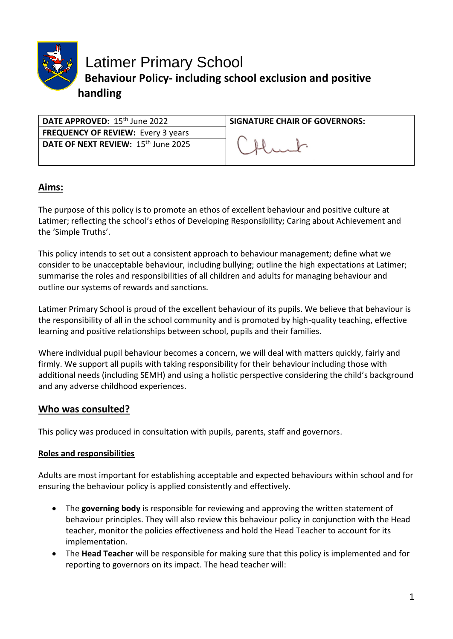

Latimer Primary School **Behaviour Policy- including school exclusion and positive handling**

| $\vert$ DATE APPROVED: $15^{\text{th}}$ June 2022 | <b>SIGNATURE CHAIR OF GOVERNORS:</b> |
|---------------------------------------------------|--------------------------------------|
| <b>FREQUENCY OF REVIEW: Every 3 years</b>         |                                      |
| DATE OF NEXT REVIEW: 15 <sup>th</sup> June 2025   |                                      |

### **Aims:**

The purpose of this policy is to promote an ethos of excellent behaviour and positive culture at Latimer; reflecting the school's ethos of Developing Responsibility; Caring about Achievement and the 'Simple Truths'.

This policy intends to set out a consistent approach to behaviour management; define what we consider to be unacceptable behaviour, including bullying; outline the high expectations at Latimer; summarise the roles and responsibilities of all children and adults for managing behaviour and outline our systems of rewards and sanctions.

Latimer Primary School is proud of the excellent behaviour of its pupils. We believe that behaviour is the responsibility of all in the school community and is promoted by high-quality teaching, effective learning and positive relationships between school, pupils and their families.

Where individual pupil behaviour becomes a concern, we will deal with matters quickly, fairly and firmly. We support all pupils with taking responsibility for their behaviour including those with additional needs (including SEMH) and using a holistic perspective considering the child's background and any adverse childhood experiences.

## **Who was consulted?**

This policy was produced in consultation with pupils, parents, staff and governors.

#### **Roles and responsibilities**

Adults are most important for establishing acceptable and expected behaviours within school and for ensuring the behaviour policy is applied consistently and effectively.

- The **governing body** is responsible for reviewing and approving the written statement of behaviour principles. They will also review this behaviour policy in conjunction with the Head teacher, monitor the policies effectiveness and hold the Head Teacher to account for its implementation.
- The **Head Teacher** will be responsible for making sure that this policy is implemented and for reporting to governors on its impact. The head teacher will: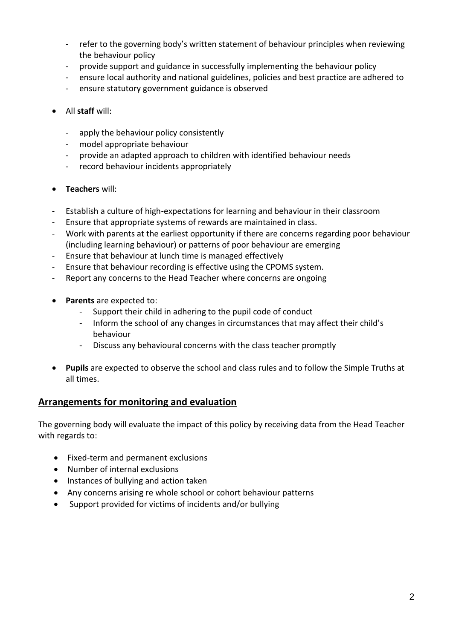- refer to the governing body's written statement of behaviour principles when reviewing the behaviour policy
- provide support and guidance in successfully implementing the behaviour policy
- ensure local authority and national guidelines, policies and best practice are adhered to
- ensure statutory government guidance is observed
- All **staff** will:
	- apply the behaviour policy consistently
	- model appropriate behaviour
	- provide an adapted approach to children with identified behaviour needs
	- record behaviour incidents appropriately
- **Teachers** will:
- Establish a culture of high-expectations for learning and behaviour in their classroom
- Ensure that appropriate systems of rewards are maintained in class.
- Work with parents at the earliest opportunity if there are concerns regarding poor behaviour (including learning behaviour) or patterns of poor behaviour are emerging
- Ensure that behaviour at lunch time is managed effectively
- Ensure that behaviour recording is effective using the CPOMS system.
- Report any concerns to the Head Teacher where concerns are ongoing
- **Parents** are expected to:
	- Support their child in adhering to the pupil code of conduct
	- Inform the school of any changes in circumstances that may affect their child's behaviour
	- Discuss any behavioural concerns with the class teacher promptly
- **Pupils** are expected to observe the school and class rules and to follow the Simple Truths at all times.

#### **Arrangements for monitoring and evaluation**

The governing body will evaluate the impact of this policy by receiving data from the Head Teacher with regards to:

- Fixed-term and permanent exclusions
- Number of internal exclusions
- Instances of bullying and action taken
- Any concerns arising re whole school or cohort behaviour patterns
- Support provided for victims of incidents and/or bullying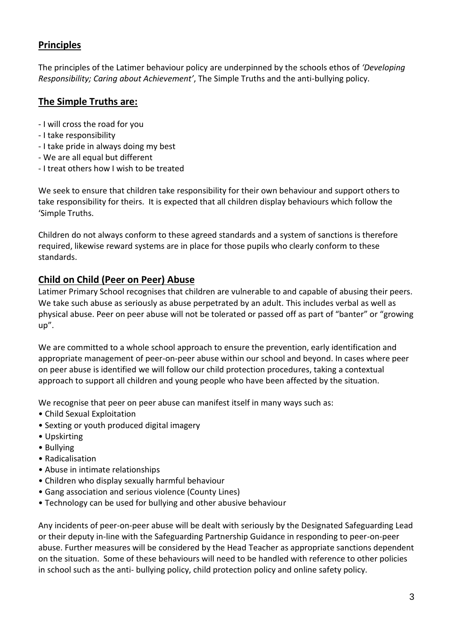## **Principles**

The principles of the Latimer behaviour policy are underpinned by the schools ethos of *'Developing Responsibility; Caring about Achievement'*, The Simple Truths and the anti-bullying policy.

## **The Simple Truths are:**

- I will cross the road for you
- I take responsibility
- I take pride in always doing my best
- We are all equal but different
- I treat others how I wish to be treated

We seek to ensure that children take responsibility for their own behaviour and support others to take responsibility for theirs. It is expected that all children display behaviours which follow the 'Simple Truths.

Children do not always conform to these agreed standards and a system of sanctions is therefore required, likewise reward systems are in place for those pupils who clearly conform to these standards.

#### **Child on Child (Peer on Peer) Abuse**

Latimer Primary School recognises that children are vulnerable to and capable of abusing their peers. We take such abuse as seriously as abuse perpetrated by an adult. This includes verbal as well as physical abuse. Peer on peer abuse will not be tolerated or passed off as part of "banter" or "growing up".

We are committed to a whole school approach to ensure the prevention, early identification and appropriate management of peer-on-peer abuse within our school and beyond. In cases where peer on peer abuse is identified we will follow our child protection procedures, taking a contextual approach to support all children and young people who have been affected by the situation.

We recognise that peer on peer abuse can manifest itself in many ways such as:

- Child Sexual Exploitation
- Sexting or youth produced digital imagery
- Upskirting
- Bullying
- Radicalisation
- Abuse in intimate relationships
- Children who display sexually harmful behaviour
- Gang association and serious violence (County Lines)
- Technology can be used for bullying and other abusive behaviour

Any incidents of peer-on-peer abuse will be dealt with seriously by the Designated Safeguarding Lead or their deputy in-line with the Safeguarding Partnership Guidance in responding to peer-on-peer abuse. Further measures will be considered by the Head Teacher as appropriate sanctions dependent on the situation. Some of these behaviours will need to be handled with reference to other policies in school such as the anti- bullying policy, child protection policy and online safety policy.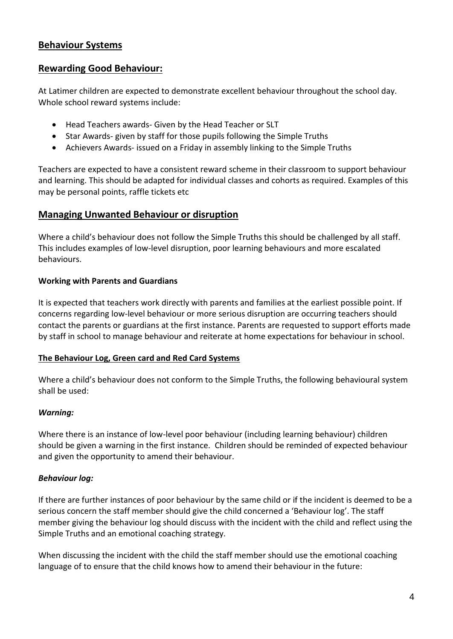#### **Behaviour Systems**

### **Rewarding Good Behaviour:**

At Latimer children are expected to demonstrate excellent behaviour throughout the school day. Whole school reward systems include:

- Head Teachers awards- Given by the Head Teacher or SLT
- Star Awards- given by staff for those pupils following the Simple Truths
- Achievers Awards- issued on a Friday in assembly linking to the Simple Truths

Teachers are expected to have a consistent reward scheme in their classroom to support behaviour and learning. This should be adapted for individual classes and cohorts as required. Examples of this may be personal points, raffle tickets etc

#### **Managing Unwanted Behaviour or disruption**

Where a child's behaviour does not follow the Simple Truths this should be challenged by all staff. This includes examples of low-level disruption, poor learning behaviours and more escalated behaviours.

#### **Working with Parents and Guardians**

It is expected that teachers work directly with parents and families at the earliest possible point. If concerns regarding low-level behaviour or more serious disruption are occurring teachers should contact the parents or guardians at the first instance. Parents are requested to support efforts made by staff in school to manage behaviour and reiterate at home expectations for behaviour in school.

#### **The Behaviour Log, Green card and Red Card Systems**

Where a child's behaviour does not conform to the Simple Truths, the following behavioural system shall be used:

#### *Warning:*

Where there is an instance of low-level poor behaviour (including learning behaviour) children should be given a warning in the first instance. Children should be reminded of expected behaviour and given the opportunity to amend their behaviour.

#### *Behaviour log:*

If there are further instances of poor behaviour by the same child or if the incident is deemed to be a serious concern the staff member should give the child concerned a 'Behaviour log'. The staff member giving the behaviour log should discuss with the incident with the child and reflect using the Simple Truths and an emotional coaching strategy.

When discussing the incident with the child the staff member should use the emotional coaching language of to ensure that the child knows how to amend their behaviour in the future: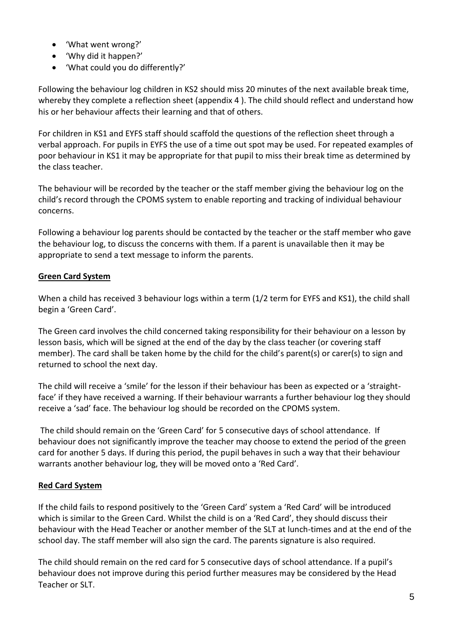- 'What went wrong?'
- 'Why did it happen?'
- 'What could you do differently?'

Following the behaviour log children in KS2 should miss 20 minutes of the next available break time, whereby they complete a reflection sheet (appendix 4 ). The child should reflect and understand how his or her behaviour affects their learning and that of others.

For children in KS1 and EYFS staff should scaffold the questions of the reflection sheet through a verbal approach. For pupils in EYFS the use of a time out spot may be used. For repeated examples of poor behaviour in KS1 it may be appropriate for that pupil to miss their break time as determined by the class teacher.

The behaviour will be recorded by the teacher or the staff member giving the behaviour log on the child's record through the CPOMS system to enable reporting and tracking of individual behaviour concerns.

Following a behaviour log parents should be contacted by the teacher or the staff member who gave the behaviour log, to discuss the concerns with them. If a parent is unavailable then it may be appropriate to send a text message to inform the parents.

#### **Green Card System**

When a child has received 3 behaviour logs within a term (1/2 term for EYFS and KS1), the child shall begin a 'Green Card'.

The Green card involves the child concerned taking responsibility for their behaviour on a lesson by lesson basis, which will be signed at the end of the day by the class teacher (or covering staff member). The card shall be taken home by the child for the child's parent(s) or carer(s) to sign and returned to school the next day.

The child will receive a 'smile' for the lesson if their behaviour has been as expected or a 'straightface' if they have received a warning. If their behaviour warrants a further behaviour log they should receive a 'sad' face. The behaviour log should be recorded on the CPOMS system.

The child should remain on the 'Green Card' for 5 consecutive days of school attendance. If behaviour does not significantly improve the teacher may choose to extend the period of the green card for another 5 days. If during this period, the pupil behaves in such a way that their behaviour warrants another behaviour log, they will be moved onto a 'Red Card'.

#### **Red Card System**

If the child fails to respond positively to the 'Green Card' system a 'Red Card' will be introduced which is similar to the Green Card. Whilst the child is on a 'Red Card', they should discuss their behaviour with the Head Teacher or another member of the SLT at lunch-times and at the end of the school day. The staff member will also sign the card. The parents signature is also required.

The child should remain on the red card for 5 consecutive days of school attendance. If a pupil's behaviour does not improve during this period further measures may be considered by the Head Teacher or SLT.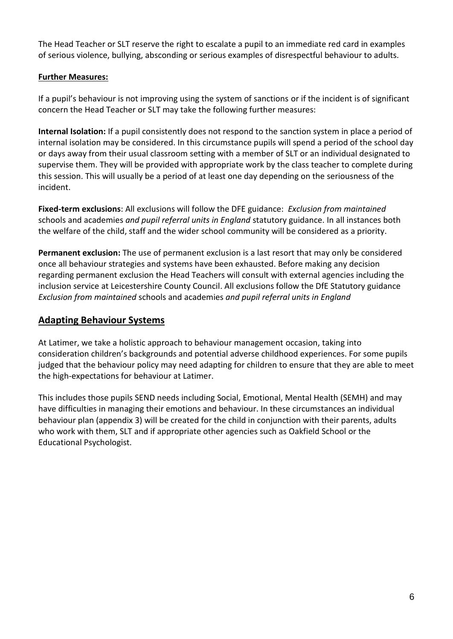The Head Teacher or SLT reserve the right to escalate a pupil to an immediate red card in examples of serious violence, bullying, absconding or serious examples of disrespectful behaviour to adults.

#### **Further Measures:**

If a pupil's behaviour is not improving using the system of sanctions or if the incident is of significant concern the Head Teacher or SLT may take the following further measures:

**Internal Isolation:** If a pupil consistently does not respond to the sanction system in place a period of internal isolation may be considered. In this circumstance pupils will spend a period of the school day or days away from their usual classroom setting with a member of SLT or an individual designated to supervise them. They will be provided with appropriate work by the class teacher to complete during this session. This will usually be a period of at least one day depending on the seriousness of the incident.

**Fixed-term exclusions**: All exclusions will follow the DFE guidance: *Exclusion from maintained* schools and academies *and pupil referral units in England* statutory guidance. In all instances both the welfare of the child, staff and the wider school community will be considered as a priority.

**Permanent exclusion:** The use of permanent exclusion is a last resort that may only be considered once all behaviour strategies and systems have been exhausted. Before making any decision regarding permanent exclusion the Head Teachers will consult with external agencies including the inclusion service at Leicestershire County Council. All exclusions follow the DfE Statutory guidance *Exclusion from maintained* schools and academies *and pupil referral units in England*

#### **Adapting Behaviour Systems**

At Latimer, we take a holistic approach to behaviour management occasion, taking into consideration children's backgrounds and potential adverse childhood experiences. For some pupils judged that the behaviour policy may need adapting for children to ensure that they are able to meet the high-expectations for behaviour at Latimer.

This includes those pupils SEND needs including Social, Emotional, Mental Health (SEMH) and may have difficulties in managing their emotions and behaviour. In these circumstances an individual behaviour plan (appendix 3) will be created for the child in conjunction with their parents, adults who work with them, SLT and if appropriate other agencies such as Oakfield School or the Educational Psychologist.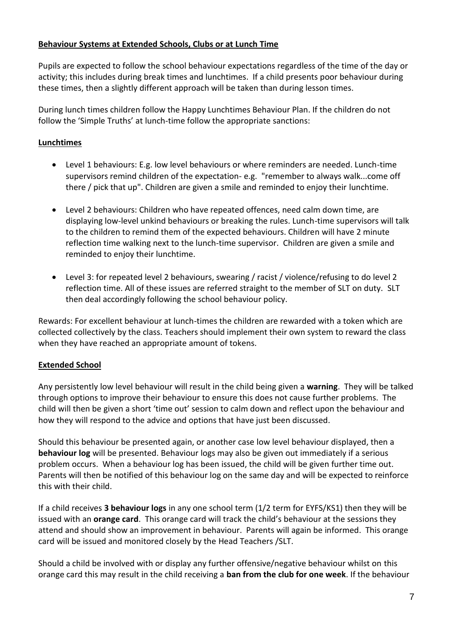#### **Behaviour Systems at Extended Schools, Clubs or at Lunch Time**

Pupils are expected to follow the school behaviour expectations regardless of the time of the day or activity; this includes during break times and lunchtimes. If a child presents poor behaviour during these times, then a slightly different approach will be taken than during lesson times.

During lunch times children follow the Happy Lunchtimes Behaviour Plan. If the children do not follow the 'Simple Truths' at lunch-time follow the appropriate sanctions:

#### **Lunchtimes**

- Level 1 behaviours: E.g. low level behaviours or where reminders are needed. Lunch-time supervisors remind children of the expectation- e.g. "remember to always walk...come off there / pick that up". Children are given a smile and reminded to enjoy their lunchtime.
- Level 2 behaviours: Children who have repeated offences, need calm down time, are displaying low-level unkind behaviours or breaking the rules. Lunch-time supervisors will talk to the children to remind them of the expected behaviours. Children will have 2 minute reflection time walking next to the lunch-time supervisor. Children are given a smile and reminded to enjoy their lunchtime.
- Level 3: for repeated level 2 behaviours, swearing / racist / violence/refusing to do level 2 reflection time. All of these issues are referred straight to the member of SLT on duty. SLT then deal accordingly following the school behaviour policy.

Rewards: For excellent behaviour at lunch-times the children are rewarded with a token which are collected collectively by the class. Teachers should implement their own system to reward the class when they have reached an appropriate amount of tokens.

#### **Extended School**

Any persistently low level behaviour will result in the child being given a **warning**. They will be talked through options to improve their behaviour to ensure this does not cause further problems. The child will then be given a short 'time out' session to calm down and reflect upon the behaviour and how they will respond to the advice and options that have just been discussed.

Should this behaviour be presented again, or another case low level behaviour displayed, then a **behaviour log** will be presented. Behaviour logs may also be given out immediately if a serious problem occurs. When a behaviour log has been issued, the child will be given further time out. Parents will then be notified of this behaviour log on the same day and will be expected to reinforce this with their child.

If a child receives **3 behaviour logs** in any one school term (1/2 term for EYFS/KS1) then they will be issued with an **orange card**. This orange card will track the child's behaviour at the sessions they attend and should show an improvement in behaviour. Parents will again be informed. This orange card will be issued and monitored closely by the Head Teachers /SLT.

Should a child be involved with or display any further offensive/negative behaviour whilst on this orange card this may result in the child receiving a **ban from the club for one week**. If the behaviour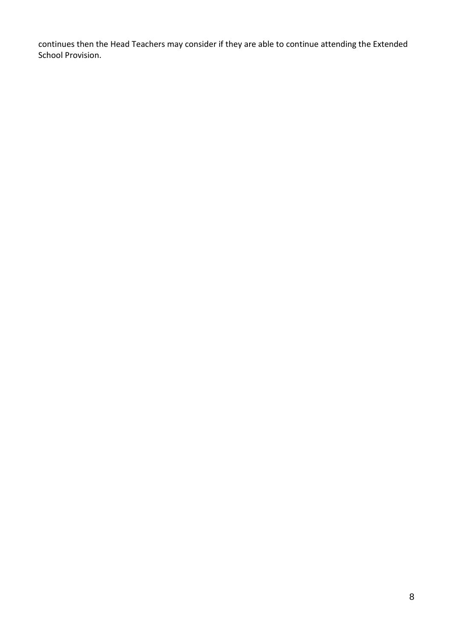continues then the Head Teachers may consider if they are able to continue attending the Extended School Provision.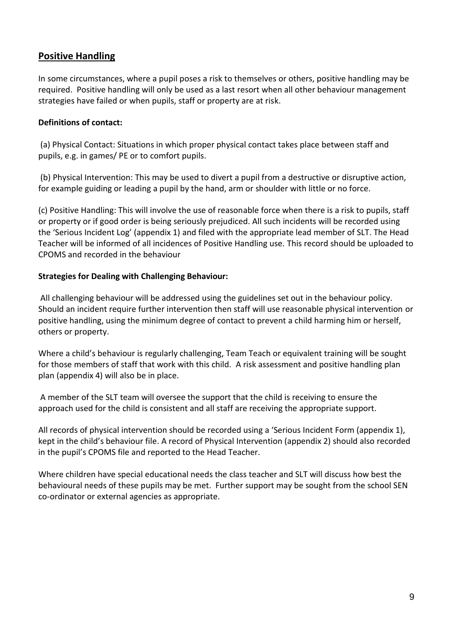## **Positive Handling**

In some circumstances, where a pupil poses a risk to themselves or others, positive handling may be required. Positive handling will only be used as a last resort when all other behaviour management strategies have failed or when pupils, staff or property are at risk.

#### **Definitions of contact:**

(a) Physical Contact: Situations in which proper physical contact takes place between staff and pupils, e.g. in games/ PE or to comfort pupils.

(b) Physical Intervention: This may be used to divert a pupil from a destructive or disruptive action, for example guiding or leading a pupil by the hand, arm or shoulder with little or no force.

(c) Positive Handling: This will involve the use of reasonable force when there is a risk to pupils, staff or property or if good order is being seriously prejudiced. All such incidents will be recorded using the 'Serious Incident Log' (appendix 1) and filed with the appropriate lead member of SLT. The Head Teacher will be informed of all incidences of Positive Handling use. This record should be uploaded to CPOMS and recorded in the behaviour

#### **Strategies for Dealing with Challenging Behaviour:**

All challenging behaviour will be addressed using the guidelines set out in the behaviour policy. Should an incident require further intervention then staff will use reasonable physical intervention or positive handling, using the minimum degree of contact to prevent a child harming him or herself, others or property.

Where a child's behaviour is regularly challenging, Team Teach or equivalent training will be sought for those members of staff that work with this child. A risk assessment and positive handling plan plan (appendix 4) will also be in place.

A member of the SLT team will oversee the support that the child is receiving to ensure the approach used for the child is consistent and all staff are receiving the appropriate support.

All records of physical intervention should be recorded using a 'Serious Incident Form (appendix 1), kept in the child's behaviour file. A record of Physical Intervention (appendix 2) should also recorded in the pupil's CPOMS file and reported to the Head Teacher.

Where children have special educational needs the class teacher and SLT will discuss how best the behavioural needs of these pupils may be met. Further support may be sought from the school SEN co-ordinator or external agencies as appropriate.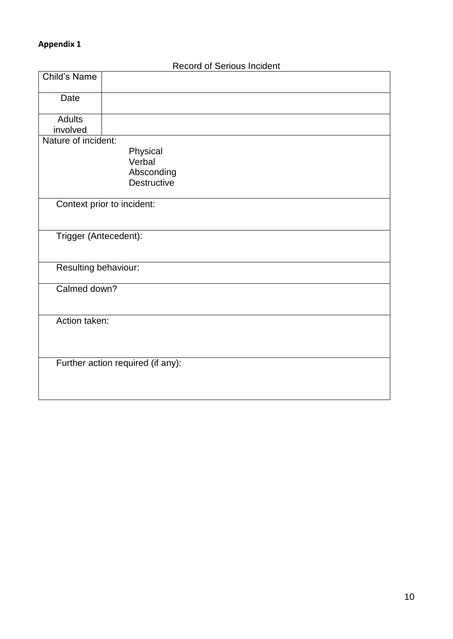## **Appendix 1**

|                       | <b>INGCOTA OF OCTIONS ILIGIORII</b> |
|-----------------------|-------------------------------------|
| <b>Child's Name</b>   |                                     |
|                       |                                     |
| Date                  |                                     |
|                       |                                     |
| <b>Adults</b>         |                                     |
| involved              |                                     |
| Nature of incident:   |                                     |
|                       | Physical<br>Verbal                  |
|                       | Absconding                          |
|                       | <b>Destructive</b>                  |
|                       |                                     |
|                       | Context prior to incident:          |
|                       |                                     |
|                       |                                     |
| Trigger (Antecedent): |                                     |
|                       |                                     |
|                       |                                     |
| Resulting behaviour:  |                                     |
|                       |                                     |
| Calmed down?          |                                     |
|                       |                                     |
| Action taken:         |                                     |
|                       |                                     |
|                       |                                     |
|                       |                                     |
|                       | Further action required (if any):   |
|                       |                                     |
|                       |                                     |
|                       |                                     |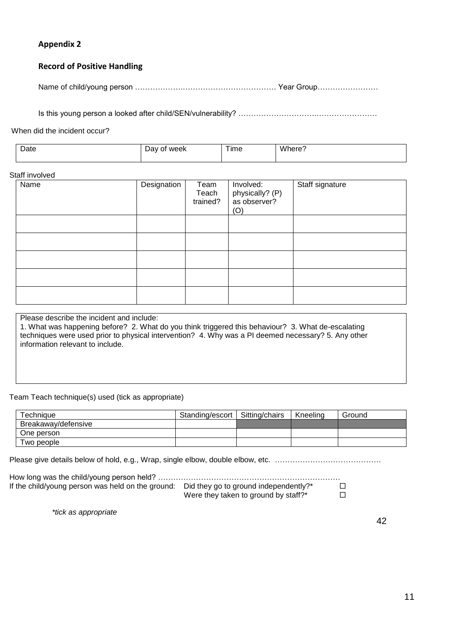#### **Appendix 2**

#### **Record of Positive Handling**

Name of child/young person ……………….………………………………. Year Group……………………

Is this young person a looked after child/SEN/vulnerability? ………………………….……………………

When did the incident occur?

| Date | week<br>יבי<br>זר<br><br>____ | $- - -$<br>I ime | <b>M/h</b><br>nere<br>. . |
|------|-------------------------------|------------------|---------------------------|
|      |                               |                  |                           |

#### Staff involved

| Name | Designation | Team<br>Teach<br>trained? | Involved:<br>physically? (P)<br>as observer?<br>(O) | Staff signature |
|------|-------------|---------------------------|-----------------------------------------------------|-----------------|
|      |             |                           |                                                     |                 |
|      |             |                           |                                                     |                 |
|      |             |                           |                                                     |                 |
|      |             |                           |                                                     |                 |
|      |             |                           |                                                     |                 |

Please describe the incident and include:

1. What was happening before? 2. What do you think triggered this behaviour? 3. What de-escalating techniques were used prior to physical intervention? 4. Why was a PI deemed necessary? 5. Any other information relevant to include.

#### Team Teach technique(s) used (tick as appropriate)

| Technique           | Standing/escort   Sitting/chairs | Kneelina | Ground |
|---------------------|----------------------------------|----------|--------|
| Breakaway/defensive |                                  |          |        |
| One person          |                                  |          |        |
| Two people          |                                  |          |        |

Please give details below of hold, e.g., Wrap, single elbow, double elbow, etc. ……………………………………

| If the child/young person was held on the ground: | Did they go to ground independently?* | $\Box$ |
|---------------------------------------------------|---------------------------------------|--------|
|                                                   | Were they taken to ground by staff?*  | $\Box$ |

*\*tick as appropriate*

42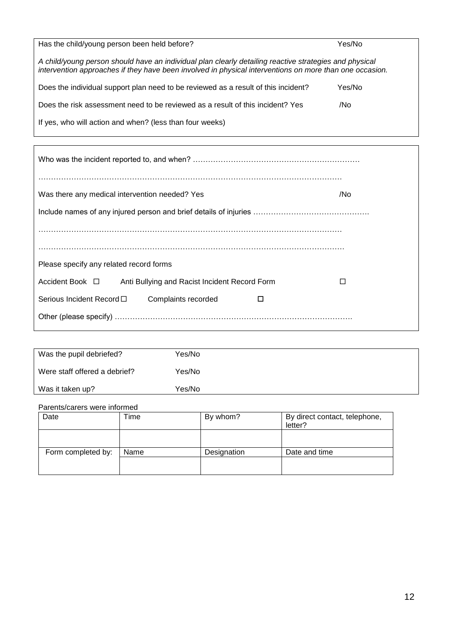| Has the child/young person been held before?                                                                                                                                                                      | Yes/No |
|-------------------------------------------------------------------------------------------------------------------------------------------------------------------------------------------------------------------|--------|
| A child/young person should have an individual plan clearly detailing reactive strategies and physical<br>intervention approaches if they have been involved in physical interventions on more than one occasion. |        |
| Does the individual support plan need to be reviewed as a result of this incident?                                                                                                                                | Yes/No |
| Does the risk assessment need to be reviewed as a result of this incident? Yes                                                                                                                                    | /No    |
| If yes, who will action and when? (less than four weeks)                                                                                                                                                          |        |

| Was there any medical intervention needed? Yes                        | /No |
|-----------------------------------------------------------------------|-----|
|                                                                       |     |
|                                                                       |     |
|                                                                       |     |
| Please specify any related record forms                               |     |
| Accident Book $\Box$<br>Anti Bullying and Racist Incident Record Form |     |
| Serious Incident Record $\square$<br>Complaints recorded<br>П         |     |
|                                                                       |     |

| Was the pupil debriefed?      | Yes/No |
|-------------------------------|--------|
| Were staff offered a debrief? | Yes/No |
| Was it taken up?              | Yes/No |

#### Parents/carers were informed

| Date               | ⊺ime | By whom?    | By direct contact, telephone,<br>letter? |
|--------------------|------|-------------|------------------------------------------|
|                    |      |             |                                          |
| Form completed by: | Name | Designation | Date and time                            |
|                    |      |             |                                          |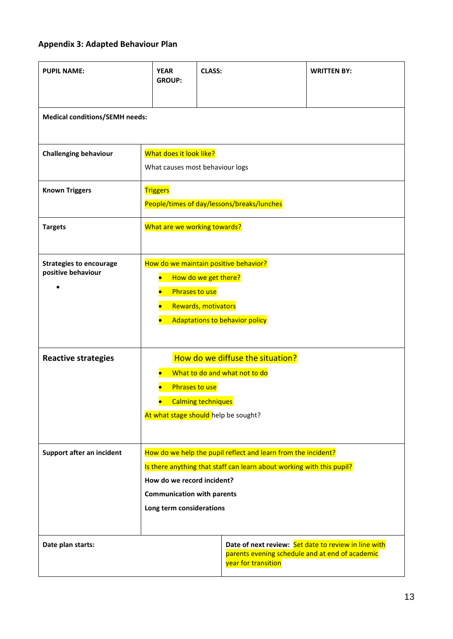# **Appendix 3: Adapted Behaviour Plan**

| <b>PUPIL NAME:</b>                                   | <b>YEAR</b><br><b>GROUP:</b>                                                                                                                                                                                                          | <b>CLASS:</b>                              | <b>WRITTEN BY:</b>                                                                                      |
|------------------------------------------------------|---------------------------------------------------------------------------------------------------------------------------------------------------------------------------------------------------------------------------------------|--------------------------------------------|---------------------------------------------------------------------------------------------------------|
| <b>Medical conditions/SEMH needs:</b>                |                                                                                                                                                                                                                                       |                                            |                                                                                                         |
| <b>Challenging behaviour</b>                         | What does it look like?<br>What causes most behaviour logs                                                                                                                                                                            |                                            |                                                                                                         |
| <b>Known Triggers</b>                                | <b>Triggers</b>                                                                                                                                                                                                                       | People/times of day/lessons/breaks/lunches |                                                                                                         |
| <b>Targets</b>                                       | What are we working towards?                                                                                                                                                                                                          |                                            |                                                                                                         |
| <b>Strategies to encourage</b><br>positive behaviour | How do we maintain positive behavior?<br>How do we get there?<br>Phrases to use<br>Rewards, motivators<br><b>Adaptations to behavior policy</b>                                                                                       |                                            |                                                                                                         |
| <b>Reactive strategies</b>                           | How do we diffuse the situation?<br>What to do and what not to do<br><b>Phrases to use</b><br><b>Calming techniques</b><br>At what stage should help be sought?                                                                       |                                            |                                                                                                         |
| Support after an incident                            | How do we help the pupil reflect and learn from the incident?<br>Is there anything that staff can learn about working with this pupil?<br>How do we record incident?<br><b>Communication with parents</b><br>Long term considerations |                                            |                                                                                                         |
| Date plan starts:                                    |                                                                                                                                                                                                                                       | year for transition                        | Date of next review: Set date to review in line with<br>parents evening schedule and at end of academic |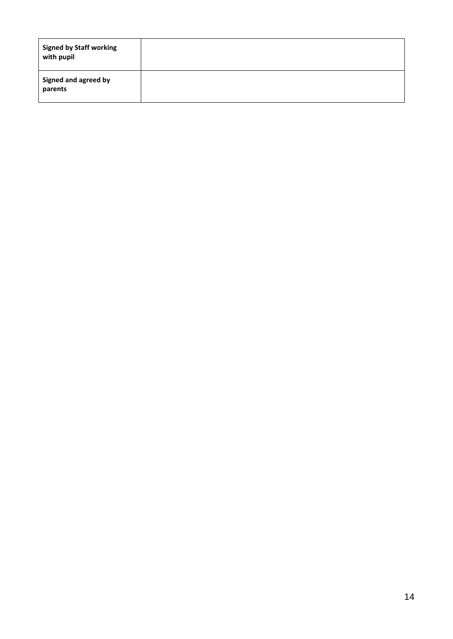| <b>Signed by Staff working</b><br>with pupil |  |
|----------------------------------------------|--|
| Signed and agreed by<br>parents              |  |